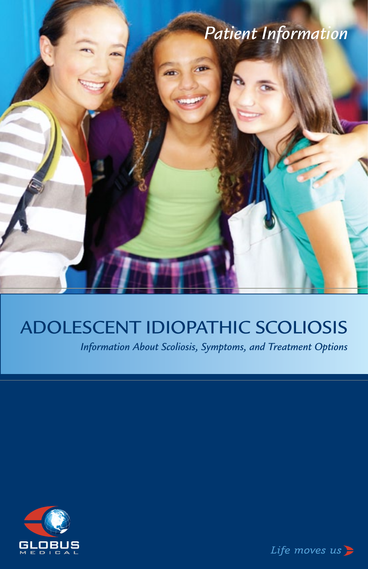

# Adolescent Idiopathic Scoliosis

*Information About Scoliosis, Symptoms, and Treatment Options*



Life moves  $us$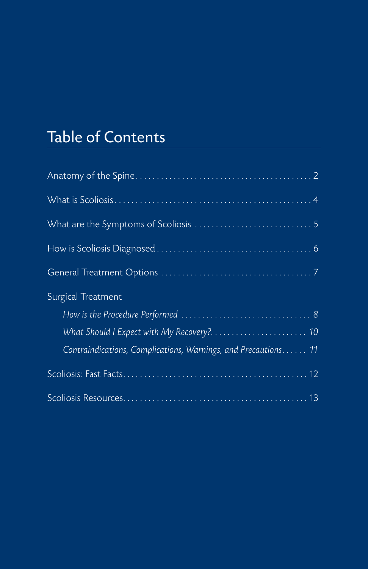# Table of Contents

| Surgical Treatment                                             |
|----------------------------------------------------------------|
|                                                                |
|                                                                |
| Contraindications, Complications, Warnings, and Precautions 11 |
|                                                                |
|                                                                |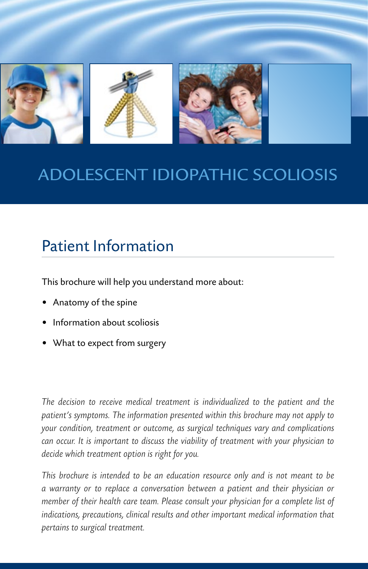

# Adolescent Idiopathic Scoliosis

# Patient Information

This brochure will help you understand more about:

- • Anatomy of the spine
- Information about scoliosis
- • What to expect from surgery

*The decision to receive medical treatment is individualized to the patient and the patient's symptoms. The information presented within this brochure may not apply to your condition, treatment or outcome, as surgical techniques vary and complications can occur. It is important to discuss the viability of treatment with your physician to decide which treatment option is right for you.*

*This brochure is intended to be an education resource only and is not meant to be a warranty or to replace a conversation between a patient and their physician or member of their health care team. Please consult your physician for a complete list of indications, precautions, clinical results and other important medical information that pertains to surgical treatment.*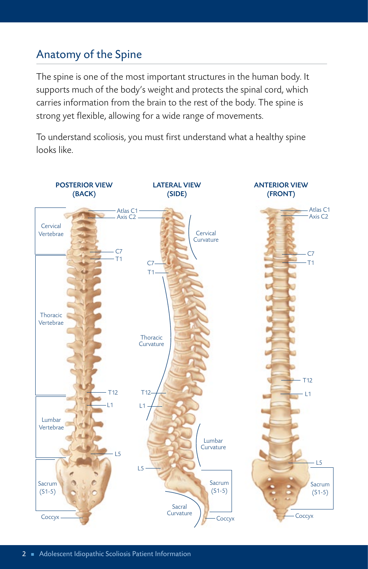# Anatomy of the Spine

The spine is one of the most important structures in the human body. It supports much of the body's weight and protects the spinal cord, which carries information from the brain to the rest of the body. The spine is strong yet flexible, allowing for a wide range of movements.

To understand scoliosis, you must first understand what a healthy spine looks like.

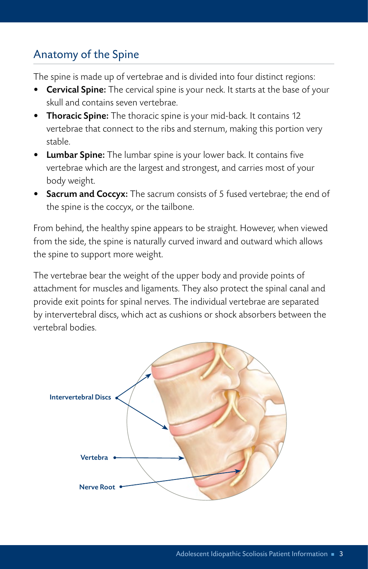# Anatomy of the Spine

The spine is made up of vertebrae and is divided into four distinct regions:

- **Cervical Spine:** The cervical spine is your neck. It starts at the base of your skull and contains seven vertebrae.
- Thoracic Spine: The thoracic spine is your mid-back. It contains 12 vertebrae that connect to the ribs and sternum, making this portion very stable.
- Lumbar Spine: The lumbar spine is your lower back. It contains five vertebrae which are the largest and strongest, and carries most of your body weight.
- Sacrum and Coccyx: The sacrum consists of 5 fused vertebrae; the end of the spine is the coccyx, or the tailbone.

From behind, the healthy spine appears to be straight. However, when viewed from the side, the spine is naturally curved inward and outward which allows the spine to support more weight.

The vertebrae bear the weight of the upper body and provide points of attachment for muscles and ligaments. They also protect the spinal canal and provide exit points for spinal nerves. The individual vertebrae are separated by intervertebral discs, which act as cushions or shock absorbers between the vertebral bodies.

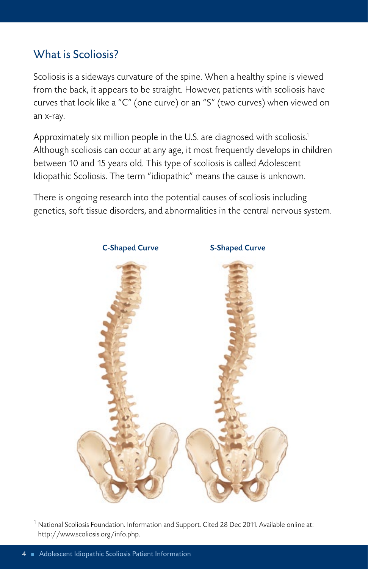### What is Scoliosis?

Scoliosis is a sideways curvature of the spine. When a healthy spine is viewed from the back, it appears to be straight. However, patients with scoliosis have curves that look like a "C" (one curve) or an "S" (two curves) when viewed on an x-ray.

Approximately six million people in the U.S. are diagnosed with scoliosis. 1 Although scoliosis can occur at any age, it most frequently develops in children between 10 and 15 years old. This type of scoliosis is called Adolescent Idiopathic Scoliosis. The term "idiopathic" means the cause is unknown.

There is ongoing research into the potential causes of scoliosis including genetics, soft tissue disorders, and abnormalities in the central nervous system.



 $^{\rm 1}$  National Scoliosis Foundation. Information and Support. Cited 28 Dec 2011. Available online at: http://www.scoliosis.org/info.php.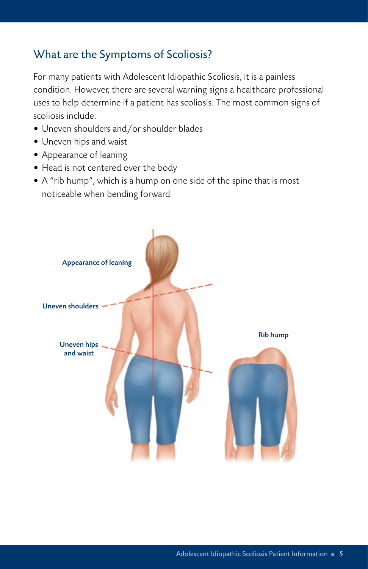# What are the Symptoms of Scoliosis?

For many patients with Adolescent Idiopathic Scoliosis, it is a painless condition. However, there are several warning signs a healthcare professional uses to help determine if a patient has scoliosis. The most common signs of scoliosis include:

- Uneven shoulders and/or shoulder blades
- Uneven hips and waist
- Appearance of leaning
- Head is not centered over the body
- A "rib hump", which is a hump on one side of the spine that is most noticeable when bending forward

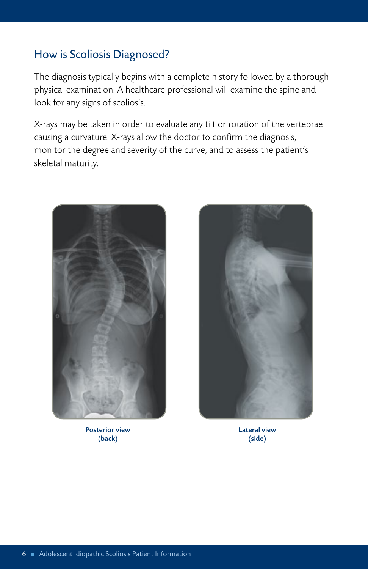### How is Scoliosis Diagnosed?

The diagnosis typically begins with a complete history followed by a thorough physical examination. A healthcare professional will examine the spine and look for any signs of scoliosis.

X-rays may be taken in order to evaluate any tilt or rotation of the vertebrae causing a curvature. X-rays allow the doctor to confirm the diagnosis, monitor the degree and severity of the curve, and to assess the patient's skeletal maturity.



Posterior view (back)



Lateral view (side)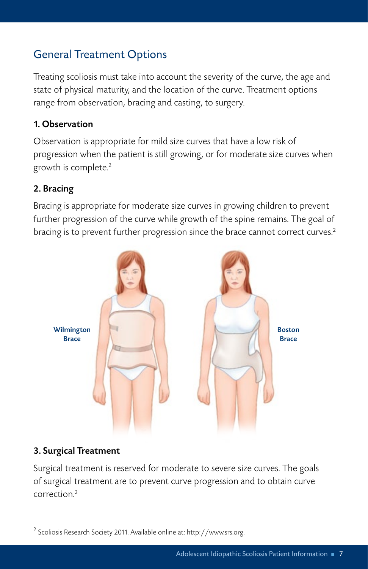# General Treatment Options

Treating scoliosis must take into account the severity of the curve, the age and state of physical maturity, and the location of the curve. Treatment options range from observation, bracing and casting, to surgery.

### 1. Observation

Observation is appropriate for mild size curves that have a low risk of progression when the patient is still growing, or for moderate size curves when growth is complete. 2

### 2. Bracing

Bracing is appropriate for moderate size curves in growing children to prevent further progression of the curve while growth of the spine remains. The goal of bracing is to prevent further progression since the brace cannot correct curves. 2



### 3. Surgical Treatment

Surgical treatment is reserved for moderate to severe size curves. The goals of surgical treatment are to prevent curve progression and to obtain curve correction. 2

<sup>2</sup> Scoliosis Research Society 2011. Available online at: http://www.srs.org.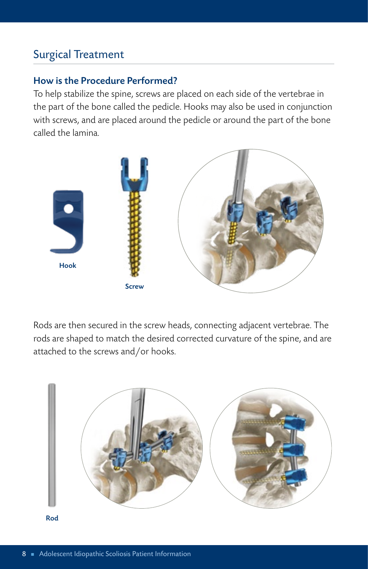### Surgical Treatment

### How is the Procedure Performed?

To help stabilize the spine, screws are placed on each side of the vertebrae in the part of the bone called the pedicle. Hooks may also be used in conjunction with screws, and are placed around the pedicle or around the part of the bone called the lamina.



Rods are then secured in the screw heads, connecting adjacent vertebrae. The rods are shaped to match the desired corrected curvature of the spine, and are attached to the screws and/or hooks.



Rod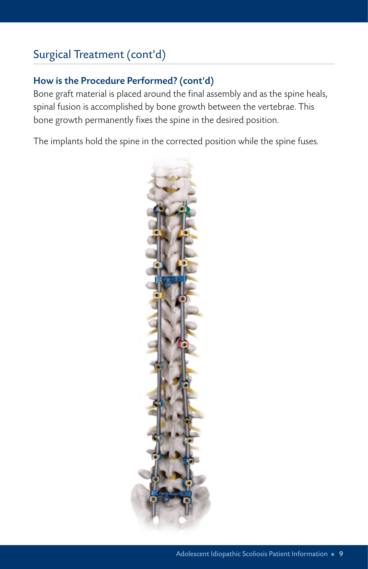# Surgical Treatment (cont'd)

### How is the Procedure Performed? (cont'd)

Bone graft material is placed around the final assembly and as the spine heals, spinal fusion is accomplished by bone growth between the vertebrae. This bone growth permanently fixes the spine in the desired position.

The implants hold the spine in the corrected position while the spine fuses.

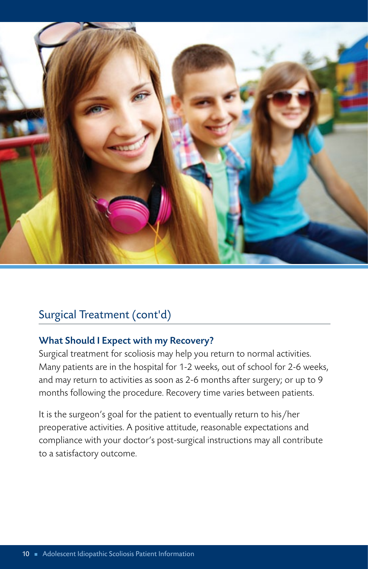

## Surgical Treatment (cont'd)

### What Should I Expect with my Recovery?

Surgical treatment for scoliosis may help you return to normal activities. Many patients are in the hospital for 1-2 weeks, out of school for 2-6 weeks, and may return to activities as soon as 2-6 months after surgery; or up to 9 months following the procedure. Recovery time varies between patients.

It is the surgeon's goal for the patient to eventually return to his/her preoperative activities. A positive attitude, reasonable expectations and compliance with your doctor's post-surgical instructions may all contribute to a satisfactory outcome.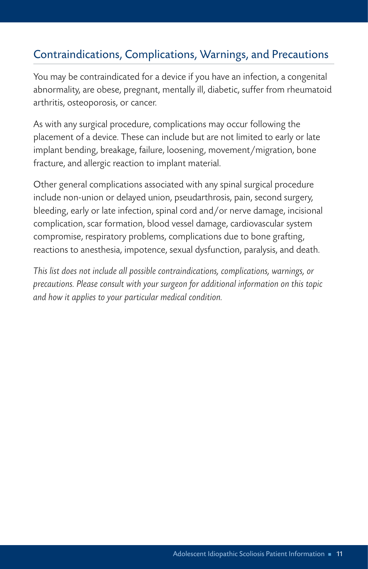### Contraindications, Complications, Warnings, and Precautions

You may be contraindicated for a device if you have an infection, a congenital abnormality, are obese, pregnant, mentally ill, diabetic, suffer from rheumatoid arthritis, osteoporosis, or cancer.

As with any surgical procedure, complications may occur following the placement of a device. These can include but are not limited to early or late implant bending, breakage, failure, loosening, movement/migration, bone fracture, and allergic reaction to implant material.

Other general complications associated with any spinal surgical procedure include non-union or delayed union, pseudarthrosis, pain, second surgery, bleeding, early or late infection, spinal cord and/or nerve damage, incisional complication, scar formation, blood vessel damage, cardiovascular system compromise, respiratory problems, complications due to bone grafting, reactions to anesthesia, impotence, sexual dysfunction, paralysis, and death.

*This list does not include all possible contraindications, complications, warnings, or precautions. Please consult with your surgeon for additional information on this topic and how it applies to your particular medical condition.*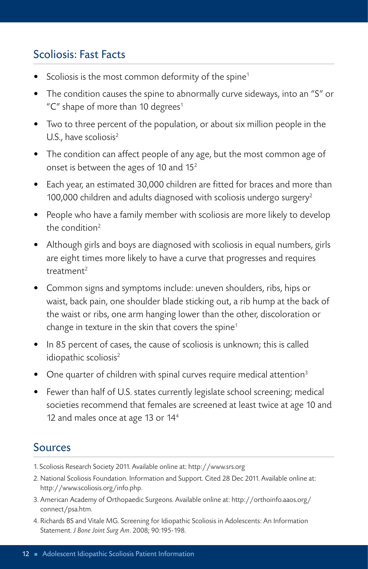### Scoliosis: Fast Facts

- Scoliosis is the most common deformity of the spine<sup>1</sup>
- The condition causes the spine to abnormally curve sideways, into an "S" or "C" shape of more than 10 degrees $1$
- Two to three percent of the population, or about six million people in the U.S., have scoliosis $2$
- The condition can affect people of any age, but the most common age of onset is between the ages of 10 and 152
- Each year, an estimated 30,000 children are fitted for braces and more than 100,000 children and adults diagnosed with scoliosis undergo surgery<sup>2</sup>
- People who have a family member with scoliosis are more likely to develop the condition2
- Although girls and boys are diagnosed with scoliosis in equal numbers, girls are eight times more likely to have a curve that progresses and requires treatment2
- Common signs and symptoms include: uneven shoulders, ribs, hips or waist, back pain, one shoulder blade sticking out, a rib hump at the back of the waist or ribs, one arm hanging lower than the other, discoloration or change in texture in the skin that covers the spine<sup>1</sup>
- In 85 percent of cases, the cause of scoliosis is unknown; this is called idiopathic scoliosis<sup>2</sup>
- One quarter of children with spinal curves require medical attention<sup>3</sup>
- Fewer than half of U.S. states currently legislate school screening; medical societies recommend that females are screened at least twice at age 10 and 12 and males once at age 13 or 144

## Sources

- 1. Scoliosis Research Society 2011. Available online at: http://www.srs.org
- 2. National Scoliosis Foundation. Information and Support. Cited 28 Dec 2011. Available online at: http://www.scoliosis.org/info.php.
- 3. American Academy of Orthopaedic Surgeons. Available online at: http://orthoinfo.aaos.org/ connect/psa.htm.
- 4. Richards BS and Vitale MG. Screening for Idiopathic Scoliosis in Adolescents: An Information Statement. *J Bone Joint Surg Am*. 2008; 90:195-198.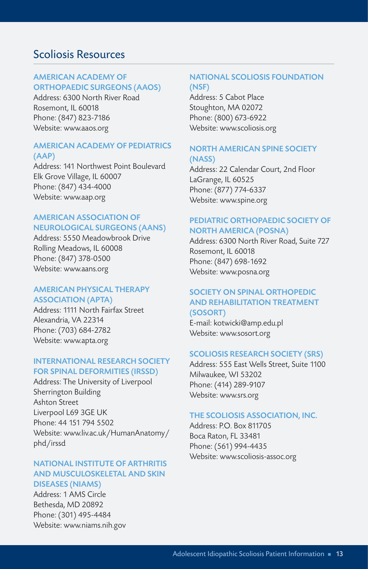### Scoliosis Resources

#### AMERICAN ACADEMY OF ORTHOPAEDIC SURGEONS (AAOS)

Address: 6300 North River Road Rosemont, IL 60018 Phone: (847) 823-7186 Website: www.aaos.org

#### AMERICAN ACADEMY OF PEDIATRICS (AAP)

Address: 141 Northwest Point Boulevard Elk Grove Village, IL 60007 Phone: (847) 434-4000 Website: www.aap.org

#### AMERICAN ASSOCIATION OF NEUROLOGICAL SURGEONS (AANS)

Address: 5550 Meadowbrook Drive Rolling Meadows, IL 60008 Phone: (847) 378-0500 Website: www.aans.org

#### AMERICAN PHYSICAL THERAPY ASSOCIATION (APTA)

Address: 1111 North Fairfax Street Alexandria, VA 22314 Phone: (703) 684-2782 Website: www.apta.org

#### INTERNATIONAL RESEARCH SOCIETY FOR SPINAL DEFORMITIES (IRSSD)

Address: The University of Liverpool Sherrington Building Ashton Street Liverpool L69 3GE UK Phone: 44 151 794 5502 Website: www.liv.ac.uk/HumanAnatomy/ phd/irssd

#### NATIONAL INSTITUTE OF ARTHRITIS AND MUSCULOSKELETAL AND SKIN DISEASES (NIAMS)

Address: 1 AMS Circle Bethesda, MD 20892 Phone: (301) 495-4484 Website: www.niams.nih.gov

#### NATIONAL SCOLIOSIS FOUNDATION (NSF)

Address: 5 Cabot Place Stoughton, MA 02072 Phone: (800) 673-6922 Website: www.scoliosis.org

#### NORTH AMERICAN SPINE SOCIETY (NASS)

Address: 22 Calendar Court, 2nd Floor LaGrange, IL 60525 Phone: (877) 774-6337 Website: www.spine.org

#### PEDIATRIC ORTHOPAEDIC SOCIETY OF NORTH AMERICA (POSNA)

Address: 6300 North River Road, Suite 727 Rosemont, IL 60018 Phone: (847) 698-1692 Website: www.posna.org

#### SOCIETY ON SPINAL ORTHOPEDIC AND REHABILITATION TREATMENT (SOSORT)

E-mail: kotwicki@amp.edu.pl Website: www.sosort.org

#### SCOLIOSIS RESEARCH SOCIETY (SRS)

Address: 555 East Wells Street, Suite 1100 Milwaukee, WI 53202 Phone: (414) 289-9107 Website: www.srs.org

#### THE SCOLIOSIS ASSOCIATION, INC.

Address: P.O. Box 811705 Boca Raton, FL 33481 Phone: (561) 994-4435 Website: www.scoliosis-assoc.org